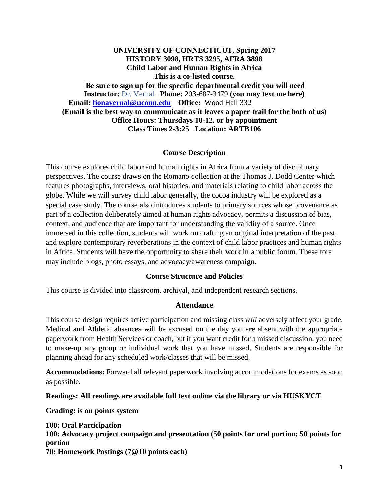**UNIVERSITY OF CONNECTICUT, Spring 2017 HISTORY 3098, HRTS 3295, AFRA 3898 Child Labor and Human Rights in Africa This is a co-listed course. Be sure to sign up for the specific departmental credit you will need Instructor:** Dr. Vernal **Phone:** 203-687-3479 **(you may text me here) Email: [fionavernal@uconn.edu](mailto:fionavernal@uconn.edu) Office:** Wood Hall 332 **(Email is the best way to communicate as it leaves a paper trail for the both of us) Office Hours: Thursdays 10-12. or by appointment Class Times 2-3:25 Location: ARTB106**

### **Course Description**

This course explores child labor and human rights in Africa from a variety of disciplinary perspectives. The course draws on the Romano collection at the Thomas J. Dodd Center which features photographs, interviews, oral histories, and materials relating to child labor across the globe. While we will survey child labor generally, the cocoa industry will be explored as a special case study. The course also introduces students to primary sources whose provenance as part of a collection deliberately aimed at human rights advocacy, permits a discussion of bias, context, and audience that are important for understanding the validity of a source. Once immersed in this collection, students will work on crafting an original interpretation of the past, and explore contemporary reverberations in the context of child labor practices and human rights in Africa. Students will have the opportunity to share their work in a public forum. These fora may include blogs, photo essays, and advocacy/awareness campaign.

### **Course Structure and Policies**

This course is divided into classroom, archival, and independent research sections.

#### **Attendance**

This course design requires active participation and missing class *will* adversely affect your grade. Medical and Athletic absences will be excused on the day you are absent with the appropriate paperwork from Health Services or coach, but if you want credit for a missed discussion, you need to make-up any group or individual work that you have missed. Students are responsible for planning ahead for any scheduled work/classes that will be missed.

**Accommodations:** Forward all relevant paperwork involving accommodations for exams as soon as possible.

#### **Readings: All readings are available full text online via the library or via HUSKYCT**

**Grading: is on points system**

**100: Oral Participation 100: Advocacy project campaign and presentation (50 points for oral portion; 50 points for portion 70: Homework Postings (7@10 points each)**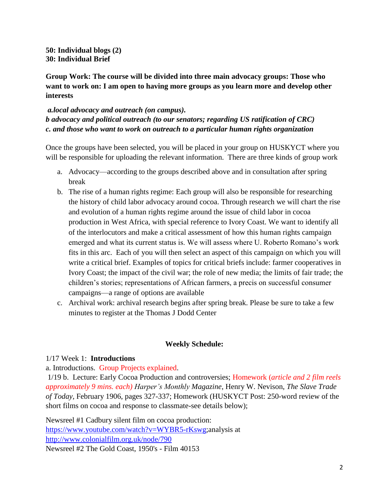**50: Individual blogs (2) 30: Individual Brief**

**Group Work: The course will be divided into three main advocacy groups: Those who want to work on: I am open to having more groups as you learn more and develop other interests**

## *a.local advocacy and outreach (on campus). b advocacy and political outreach (to our senators; regarding US ratification of CRC) c. and those who want to work on outreach to a particular human rights organization*

Once the groups have been selected, you will be placed in your group on HUSKYCT where you will be responsible for uploading the relevant information. There are three kinds of group work

- a. Advocacy—according to the groups described above and in consultation after spring break
- b. The rise of a human rights regime: Each group will also be responsible for researching the history of child labor advocacy around cocoa. Through research we will chart the rise and evolution of a human rights regime around the issue of child labor in cocoa production in West Africa, with special reference to Ivory Coast. We want to identify all of the interlocutors and make a critical assessment of how this human rights campaign emerged and what its current status is. We will assess where U. Roberto Romano's work fits in this arc. Each of you will then select an aspect of this campaign on which you will write a critical brief. Examples of topics for critical briefs include: farmer cooperatives in Ivory Coast; the impact of the civil war; the role of new media; the limits of fair trade; the children's stories; representations of African farmers, a precis on successful consumer campaigns—a range of options are available
- c. Archival work: archival research begins after spring break. Please be sure to take a few minutes to register at the Thomas J Dodd Center

## **Weekly Schedule:**

## 1/17 Week 1: **Introductions**

## a. Introductions. Group Projects explained.

1/19 b. Lecture: Early Cocoa Production and controversies; Homework (*article and 2 film reels approximately 9 mins. each) Harper's Monthly Magazine*, Henry W. Nevison, *The Slave Trade of Today,* February 1906, pages 327-337; Homework (HUSKYCT Post: 250-word review of the short films on cocoa and response to classmate-see details below);

Newsreel #1 Cadbury silent film on cocoa production: [https://www.youtube.com/watch?v=WYBR5-rKswg;](https://www.youtube.com/watch?v=WYBR5-rKswg)analysis at <http://www.colonialfilm.org.uk/node/790> Newsreel #2 The Gold Coast, 1950's - Film 40153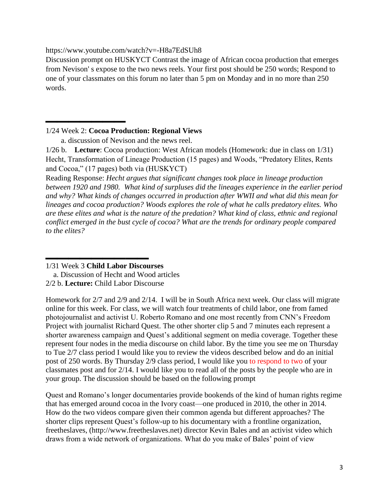https://www.youtube.com/watch?v=-H8a7EdSUh8

Discussion prompt on HUSKYCT Contrast the image of African cocoa production that emerges from Nevison' s expose to the two news reels. Your first post should be 250 words; Respond to one of your classmates on this forum no later than 5 pm on Monday and in no more than 250 words.

1/24 Week 2: **Cocoa Production: Regional Views**

**\_\_\_\_\_\_\_**

a. discussion of Nevison and the news reel.

1/26 b. **Lecture**: Cocoa production: West African models (Homework: due in class on 1/31) Hecht, Transformation of Lineage Production (15 pages) and Woods, "Predatory Elites, Rents and Cocoa," (17 pages) both via (HUSKYCT)

Reading Response: *Hecht argues that significant changes took place in lineage production between 1920 and 1980. What kind of surpluses did the lineages experience in the earlier period and why? What kinds of changes occurred in production after WWII and what did this mean for lineages and cocoa production? Woods explores the role of what he calls predatory elites. Who are these elites and what is the nature of the predation? What kind of class, ethnic and regional conflict emerged in the bust cycle of cocoa? What are the trends for ordinary people compared to the elites?*

Homework for 2/7 and 2/9 and 2/14. I will be in South Africa next week. Our class will migrate online for this week. For class, we will watch four treatments of child labor, one from famed photojournalist and activist U. Roberto Romano and one most recently from CNN's Freedom Project with journalist Richard Quest. The other shorter clip 5 and 7 minutes each represent a shorter awareness campaign and Quest's additional segment on media coverage. Together these represent four nodes in the media discourse on child labor. By the time you see me on Thursday to Tue 2/7 class period I would like you to review the videos described below and do an initial post of 250 words. By Thursday 2/9 class period, I would like you to respond to two of your classmates post and for 2/14. I would like you to read all of the posts by the people who are in your group. The discussion should be based on the following prompt

Quest and Romano's longer documentaries provide bookends of the kind of human rights regime that has emerged around cocoa in the Ivory coast—one produced in 2010, the other in 2014. How do the two videos compare given their common agenda but different approaches? The shorter clips represent Quest's follow-up to his documentary with a frontline organization, freetheslaves, (http://www.freetheslaves.net) director Kevin Bales and an activist video which draws from a wide network of organizations. What do you make of Bales' point of view

**\_\_\_\_\_\_\_\_\_** 1/31 Week 3 **Child Labor Discourses**

a. Discussion of Hecht and Wood articles

<sup>2/2</sup> b. **Lecture:** Child Labor Discourse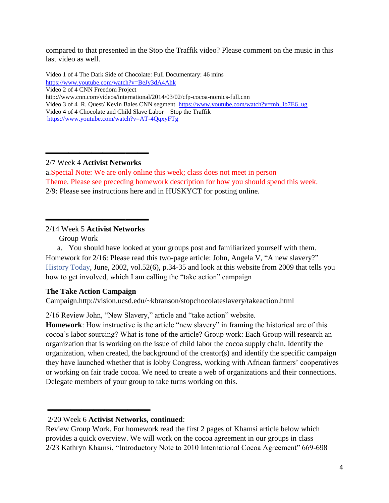compared to that presented in the Stop the Traffik video? Please comment on the music in this last video as well.

Video 1 of 4 The Dark Side of Chocolate: Full Documentary: 46 mins <https://www.youtube.com/watch?v=BeJy3dA4Ahk>

Video 2 of 4 CNN Freedom Project

http://www.cnn.com/videos/international/2014/03/02/cfp-cocoa-nomics-full.cnn

Video 3 of 4 R. Quest/ Kevin Bales CNN segment [https://www.youtube.com/watch?v=mh\\_Ib7E6\\_ug](https://www.youtube.com/watch?v=mh_Ib7E6_ug) Video 4 of 4 Chocolate and Child Slave Labor—Stop the Traffik <https://www.youtube.com/watch?v=AT-4QqxyFTg>

2/7 Week 4 **Activist Networks**

**\_\_\_\_\_\_\_\_\_**

a.Special Note: We are only online this week; class does not meet in person Theme. Please see preceding homework description for how you should spend this week. 2/9: Please see instructions here and in HUSKYCT for posting online.

2/14 Week 5 **Activist Networks**

**\_\_\_\_\_\_\_\_\_**

Group Work

a. You should have looked at your groups post and familiarized yourself with them. Homework for 2/16: Please read this two-page article: John, Angela V, "A new slavery?" History Today, June, 2002, vol.52(6), p.34-35 and look at this website from 2009 that tells you how to get involved, which I am calling the "take action" campaign

# **The Take Action Campaign**

Campaign.http://vision.ucsd.edu/~kbranson/stopchocolateslavery/takeaction.html

2/16 Review John, "New Slavery," article and "take action" website.

**Homework**: How instructive is the article "new slavery" in framing the historical arc of this cocoa's labor sourcing? What is tone of the article? Group work: Each Group will research an organization that is working on the issue of child labor the cocoa supply chain. Identify the organization, when created, the background of the creator(s) and identify the specific campaign they have launched whether that is lobby Congress, working with African farmers' cooperatives or working on fair trade cocoa. We need to create a web of organizations and their connections. Delegate members of your group to take turns working on this.

**\_\_\_\_\_\_\_\_\_**

<sup>2/20</sup> Week 6 **Activist Networks, continued**:

Review Group Work. For homework read the first 2 pages of Khamsi article below which provides a quick overview. We will work on the cocoa agreement in our groups in class 2/23 Kathryn Khamsi, "Introductory Note to 2010 International Cocoa Agreement" 669-698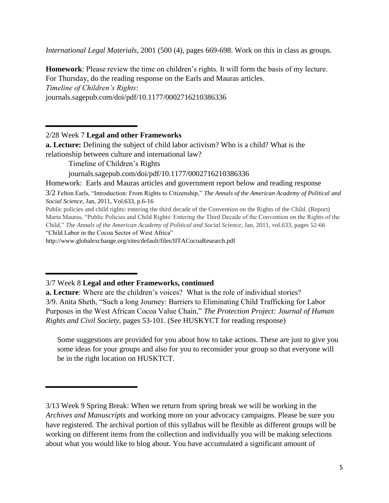*International Legal Materials*, 2001 (500 (4), pages 669-698. Work on this in class as groups.

**Homework**: Please review the time on children's rights. It will form the basis of my lecture. For Thursday, do the reading response on the Earls and Mauras articles. *Timeline of Children's Rights*:

journals.sagepub.com/doi/pdf/10.1177/0002716210386336

2/28 Week 7 **Legal and other Frameworks**

**\_\_\_\_\_\_\_\_**

**\_\_\_\_\_\_\_\_**

**\_\_\_\_\_\_\_\_**

**a. Lecture:** Defining the subject of child labor activism? Who is a child? What is the relationship between culture and international law?

Timeline of Children's Rights

journals.sagepub.com/doi/pdf/10.1177/0002716210386336

Homework: Earls and Mauras articles and government report below and reading response

3/2 Felton Earls, "Introduction: From Rights to Citizenship," *The Annals of the American Academy of Political and Social Science,* Jan, 2011, Vol.633, p.6-16

Public policies and child rights: entering the third decade of the Convention on the Rights of the Child. (Report) Marta Mauras, "Public Policies and Child Rights: Entering the Third Decade of the Convention on the Rights of the Child," *The Annals of the American Academy of Political and Social Science*, Jan, 2011, vol.633, pages 52-66 "Child Labor in the Cocoa Sector of West Africa"

http://www.globalexchange.org/sites/default/files/IITACocoaResearch.pdf

**a. Lecture**: Where are the children's voices? What is the role of individual stories? 3/9. Anita Sheth, "Such a long Journey: Barriers to Eliminating Child Trafficking for Labor Purposes in the West African Cocoa Value Chain," *The Protection Project: Journal of Human Rights and Civil Society*, pages 53-101. (See HUSKYCT for reading response)

Some suggestions are provided for you about how to take actions. These are just to give you some ideas for your groups and also for you to reconsider your group so that everyone will be in the right location on HUSKTCT.

<sup>3/7</sup> Week 8 **Legal and other Frameworks, continued**

<sup>3/13</sup> Week 9 Spring Break: When we return from spring break we will be working in the *Archives and Manuscripts* and working more on your advocacy campaigns. Please be sure you have registered. The archival portion of this syllabus will be flexible as different groups will be working on different items from the collection and individually you will be making selections about what you would like to blog about. You have accumulated a significant amount of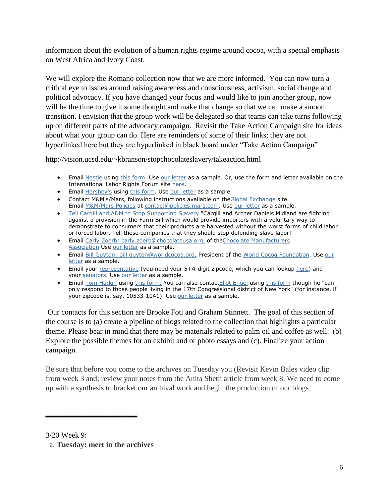information about the evolution of a human rights regime around cocoa, with a special emphasis on West Africa and Ivory Coast.

We will explore the Romano collection now that we are more informed. You can now turn a critical eye to issues around raising awareness and consciousness, activism, social change and political advocacy. If you have changed your focus and would like to join another group, now will be the time to give it some thought and make that change so that we can make a smooth transition. I envision that the group work will be delegated so that teams can take turns following up on different parts of the advocacy campaign. Revisit the Take Action Campaign site for ideas about what your group can do. Here are reminders of some of their links; they are not hyperlinked here but they are hyperlinked in black board under "Take Action Campaign"

http://vision.ucsd.edu/~kbranson/stopchocolateslavery/takeaction.html

- Email [Nestle](http://www.nestle.com/Common/Header/ContactUs.htm) using [this form.](http://www.nestle.com/Common/Header/ContactUs.htm) Use [our letter](http://vision.ucsd.edu/~kbranson/stopchocolateslavery/chocolatecompaniesletter.html) as a sample. Or, use the form and letter available on the International Labor Rights Forum site [here.](http://www.unionvoice.org/campaign/Nestle08)
- Email [Hershey's](http://www.hersheys.com/contactus/contact-us-date.asp) using [this form.](http://www.hersheys.com/contactus/contact-us-date.asp) Use [our letter](http://vision.ucsd.edu/~kbranson/stopchocolateslavery/chocolatecompaniesletter.html) as a sample.
- Contact M&M's/Mars, following instructions available on th[eGlobal Exchange](http://www.globalexchange.org/campaigns/fairtrade/cocoa/mmmars.html) site. Email [M&M/Mars Policies](mailto:contact@policies.mars.com) at [contact@policies.mars.com.](mailto:contact@policies.mars.com) Use [our letter](http://vision.ucsd.edu/~kbranson/stopchocolateslavery/chocolatecompaniesletter.html) as a sample.
- [Tell Cargill and ADM to Stop Supporting Slavery](http://www.unionvoice.org/campaign/CargillADM08/) "Cargill and Archer Daniels Midland are fighting against a provision in the Farm Bill which would provide importers with a voluntary way to demonstrate to consumers that their products are harvested without the worst forms of child labor or forced labor. Tell these companies that they should stop defending slave labor!"
- **Email [Carly Zoerb: carly.zoerb@chocolateusa.org,](mailto:carly.zoerb@chocolateusa.org) of theChocolate Manufacturers** [Association](http://www.chocolateusa.org/index.asp) Use [our letter](http://vision.ucsd.edu/~kbranson/stopchocolateslavery/chocolatecompaniesletter.html) as a sample.
- Email [Bill Guyton: bill.guyton@worldcocoa.org,](mailto:bill.guyton@worldcocoa.org) President of the [World Cocoa Foundation.](http://www.worldcocoafoundation.org/contact.asp) Use our [letter](http://vision.ucsd.edu/~kbranson/stopchocolateslavery/chocolatecompaniesletter.html) as a sample.
- Email your [representative](https://writerep.house.gov/writerep/welcome.shtml) (you need your 5+4-digit zipcode, which you can lookup [here\)](http://zip4.usps.com/zip4/welcome.jsp) and your [senators.](http://www.senate.gov/general/contact_information/senators_cfm.cfm) Use [our letter](http://vision.ucsd.edu/~kbranson/stopchocolateslavery/congressmanletter.html) as a sample.
- Email [Tom Harkin](http://harkin.senate.gov/c/) using [this form.](http://harkin.senate.gov/c/) You can also contact Eliot Engel using [this form](https://writerep.house.gov/writerep/welcome.shtml) though he "can only respond to those people living in the 17th Congressional district of New York" (for instance, if your zipcode is, say, 10533-1041). Use [our letter](http://vision.ucsd.edu/~kbranson/stopchocolateslavery/congressmanletter.html) as a sample.

Our contacts for this section are Brooke Foti and Graham Stinnett. The goal of this section of the course is to (a) create a pipeline of blogs related to the collection that highlights a particular theme. Please bear in mind that there may be materials related to palm oil and coffee as well. (b) Explore the possible themes for an exhibit and or photo essays and (c). Finalize your action campaign.

Be sure that before you come to the archives on Tuesday you (Revisit Kevin Bales video clip from week 3 and; review your notes from the Anita Sheth article from week 8. We need to come up with a synthesis to bracket our archival work and begin the production of our blogs

3/20 Week 9:

**\_\_\_\_\_\_\_\_**

a. **Tuesday: meet in the archives**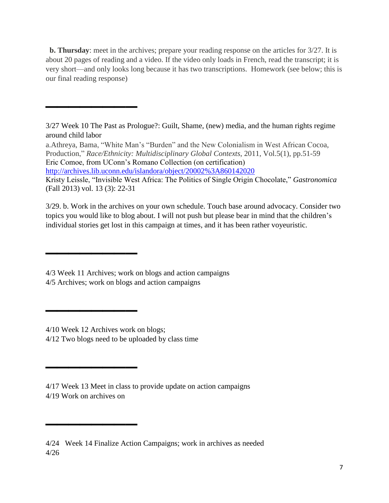**b. Thursday**: meet in the archives; prepare your reading response on the articles for 3/27. It is about 20 pages of reading and a video. If the video only loads in French, read the transcript; it is very short—and only looks long because it has two transcriptions. Homework (see below; this is our final reading response)

<http://archives.lib.uconn.edu/islandora/object/20002%3A860142020>

3/29. b. Work in the archives on your own schedule. Touch base around advocacy. Consider two topics you would like to blog about. I will not push but please bear in mind that the children's individual stories get lost in this campaign at times, and it has been rather voyeuristic.

**\_\_\_\_\_\_\_\_**

**\_\_\_\_\_\_\_\_**

**\_\_\_\_\_\_\_\_**

**\_\_\_\_\_\_\_\_**

**\_\_\_\_\_\_\_\_**

<sup>3/27</sup> Week 10 The Past as Prologue?: Guilt, Shame, (new) media, and the human rights regime around child labor

a.Athreya, Bama, "White Man's "Burden" and the New Colonialism in West African Cocoa, Production," *Race/Ethnicity: Multidisciplinary Global Contexts*, 2011, Vol.5(1), pp.51-59 Eric Comoe, from UConn's Romano Collection (on certification)

Kristy Leissle, "Invisible West Africa: The Politics of Single Origin Chocolate," *Gastronomica* (Fall 2013) vol. 13 (3): 22-31

<sup>4/3</sup> Week 11 Archives; work on blogs and action campaigns 4/5 Archives; work on blogs and action campaigns

<sup>4/10</sup> Week 12 Archives work on blogs;

<sup>4/12</sup> Two blogs need to be uploaded by class time

<sup>4/17</sup> Week 13 Meet in class to provide update on action campaigns 4/19 Work on archives on

<sup>4/24</sup> Week 14 Finalize Action Campaigns; work in archives as needed 4/26